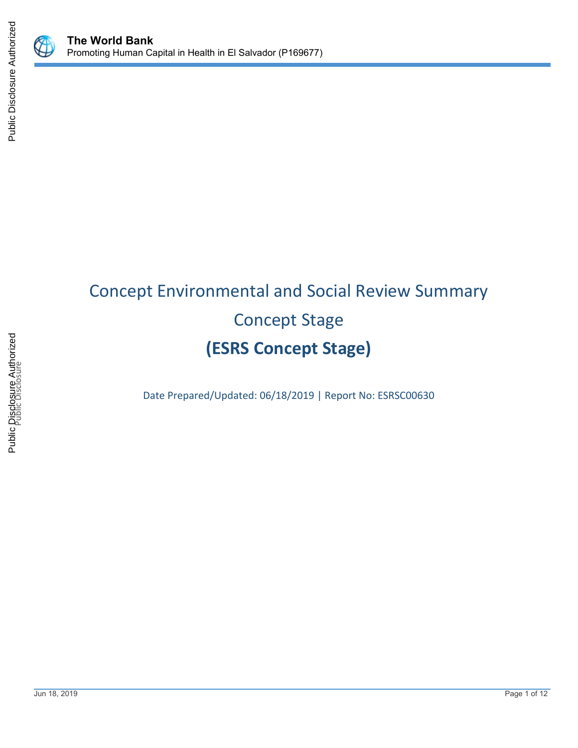

# Concept Environmental and Social Review Summary Concept Stage **(ESRS Concept Stage)**

Date Prepared/Updated: 06/18/2019 | Report No: ESRSC00630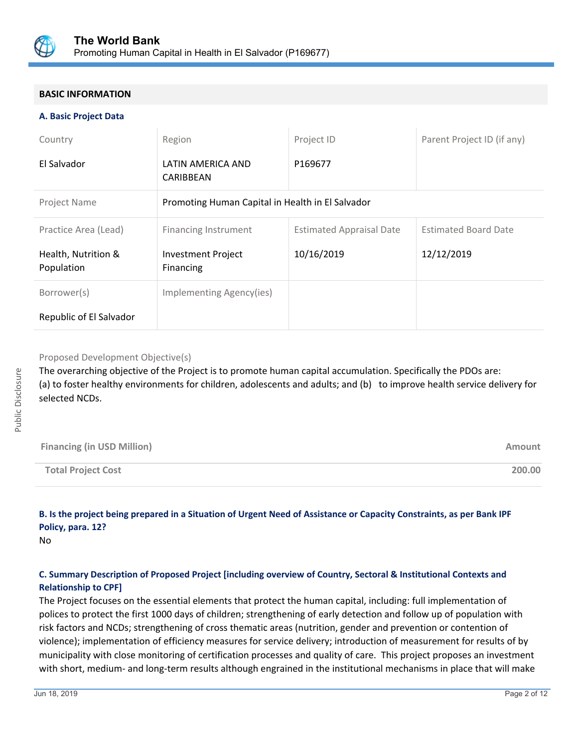

# **BASIC INFORMATION**

#### **A. Basic Project Data**

| Country                           | Region                                           | Project ID                      | Parent Project ID (if any)  |
|-----------------------------------|--------------------------------------------------|---------------------------------|-----------------------------|
| El Salvador                       | LATIN AMERICA AND<br>CARIBBEAN                   | P169677                         |                             |
| Project Name                      | Promoting Human Capital in Health in El Salvador |                                 |                             |
| Practice Area (Lead)              | Financing Instrument                             | <b>Estimated Appraisal Date</b> | <b>Estimated Board Date</b> |
| Health, Nutrition &<br>Population | <b>Investment Project</b><br>Financing           | 10/16/2019                      | 12/12/2019                  |
| Borrower(s)                       | Implementing Agency(ies)                         |                                 |                             |
| Republic of El Salvador           |                                                  |                                 |                             |

Proposed Development Objective(s)

The overarching objective of the Project is to promote human capital accumulation. Specifically the PDOs are: (a) to foster healthy environments for children, adolescents and adults; and (b) to improve health service delivery for selected NCDs.

| <b>Financing (in USD Million)</b> | Amount |
|-----------------------------------|--------|
| <b>Total Project Cost</b>         | 200.00 |

# **B. Is the project being prepared in a Situation of Urgent Need of Assistance or Capacity Constraints, as per Bank IPF Policy, para. 12?**

No

# **C. Summary Description of Proposed Project [including overview of Country, Sectoral & Institutional Contexts and Relationship to CPF]**

The Project focuses on the essential elements that protect the human capital, including: full implementation of polices to protect the first 1000 days of children; strengthening of early detection and follow up of population with risk factors and NCDs; strengthening of cross thematic areas (nutrition, gender and prevention or contention of violence); implementation of efficiency measures for service delivery; introduction of measurement for results of by municipality with close monitoring of certification processes and quality of care. This project proposes an investment with short, medium- and long-term results although engrained in the institutional mechanisms in place that will make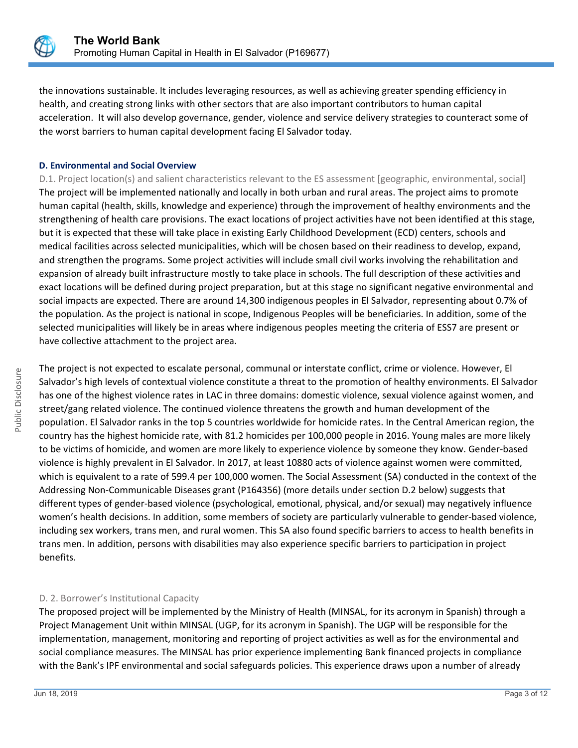

the innovations sustainable. It includes leveraging resources, as well as achieving greater spending efficiency in health, and creating strong links with other sectors that are also important contributors to human capital acceleration. It will also develop governance, gender, violence and service delivery strategies to counteract some of the worst barriers to human capital development facing El Salvador today.

#### **D. Environmental and Social Overview**

D.1. Project location(s) and salient characteristics relevant to the ES assessment [geographic, environmental, social] The project will be implemented nationally and locally in both urban and rural areas. The project aims to promote human capital (health, skills, knowledge and experience) through the improvement of healthy environments and the strengthening of health care provisions. The exact locations of project activities have not been identified at this stage, but it is expected that these will take place in existing Early Childhood Development (ECD) centers, schools and medical facilities across selected municipalities, which will be chosen based on their readiness to develop, expand, and strengthen the programs. Some project activities will include small civil works involving the rehabilitation and expansion of already built infrastructure mostly to take place in schools. The full description of these activities and exact locations will be defined during project preparation, but at this stage no significant negative environmental and social impacts are expected. There are around 14,300 indigenous peoples in El Salvador, representing about 0.7% of the population. As the project is national in scope, Indigenous Peoples will be beneficiaries. In addition, some of the selected municipalities will likely be in areas where indigenous peoples meeting the criteria of ESS7 are present or have collective attachment to the project area.

The project is not expected to escalate personal, communal or interstate conflict, crime or violence. However, El Salvador's high levels of contextual violence constitute a threat to the promotion of healthy environments. El Salvador has one of the highest violence rates in LAC in three domains: domestic violence, sexual violence against women, and street/gang related violence. The continued violence threatens the growth and human development of the population. El Salvador ranks in the top 5 countries worldwide for homicide rates. In the Central American region, the country has the highest homicide rate, with 81.2 homicides per 100,000 people in 2016. Young males are more likely to be victims of homicide, and women are more likely to experience violence by someone they know. Gender-based violence is highly prevalent in El Salvador. In 2017, at least 10880 acts of violence against women were committed, which is equivalent to a rate of 599.4 per 100,000 women. The Social Assessment (SA) conducted in the context of the Addressing Non-Communicable Diseases grant (P164356) (more details under section D.2 below) suggests that different types of gender-based violence (psychological, emotional, physical, and/or sexual) may negatively influence women's health decisions. In addition, some members of society are particularly vulnerable to gender-based violence, including sex workers, trans men, and rural women. This SA also found specific barriers to access to health benefits in trans men. In addition, persons with disabilities may also experience specific barriers to participation in project benefits.

# D. 2. Borrower's Institutional Capacity

The proposed project will be implemented by the Ministry of Health (MINSAL, for its acronym in Spanish) through a Project Management Unit within MINSAL (UGP, for its acronym in Spanish). The UGP will be responsible for the implementation, management, monitoring and reporting of project activities as well as for the environmental and social compliance measures. The MINSAL has prior experience implementing Bank financed projects in compliance with the Bank's IPF environmental and social safeguards policies. This experience draws upon a number of already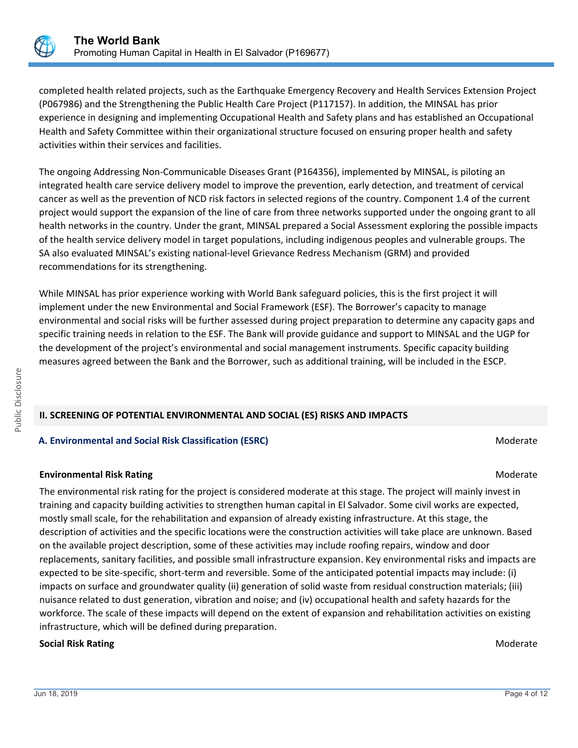

completed health related projects, such as the Earthquake Emergency Recovery and Health Services Extension Project (P067986) and the Strengthening the Public Health Care Project (P117157). In addition, the MINSAL has prior experience in designing and implementing Occupational Health and Safety plans and has established an Occupational Health and Safety Committee within their organizational structure focused on ensuring proper health and safety activities within their services and facilities.

The ongoing Addressing Non-Communicable Diseases Grant (P164356), implemented by MINSAL, is piloting an integrated health care service delivery model to improve the prevention, early detection, and treatment of cervical cancer as well as the prevention of NCD risk factors in selected regions of the country. Component 1.4 of the current project would support the expansion of the line of care from three networks supported under the ongoing grant to all health networks in the country. Under the grant, MINSAL prepared a Social Assessment exploring the possible impacts of the health service delivery model in target populations, including indigenous peoples and vulnerable groups. The SA also evaluated MINSAL's existing national-level Grievance Redress Mechanism (GRM) and provided recommendations for its strengthening.

While MINSAL has prior experience working with World Bank safeguard policies, this is the first project it will implement under the new Environmental and Social Framework (ESF). The Borrower's capacity to manage environmental and social risks will be further assessed during project preparation to determine any capacity gaps and specific training needs in relation to the ESF. The Bank will provide guidance and support to MINSAL and the UGP for the development of the project's environmental and social management instruments. Specific capacity building measures agreed between the Bank and the Borrower, such as additional training, will be included in the ESCP.

# **II. SCREENING OF POTENTIAL ENVIRONMENTAL AND SOCIAL (ES) RISKS AND IMPACTS**

#### **A. Environmental and Social Risk Classification (ESRC) Moderate Social Analysis and Social Risk Classification (ESRC)**

#### **Environmental Risk Rating Moderate School School School School School School School School School School School School School School School School School School School School School School School School School School Scho**

The environmental risk rating for the project is considered moderate at this stage. The project will mainly invest in training and capacity building activities to strengthen human capital in El Salvador. Some civil works are expected, mostly small scale, for the rehabilitation and expansion of already existing infrastructure. At this stage, the description of activities and the specific locations were the construction activities will take place are unknown. Based on the available project description, some of these activities may include roofing repairs, window and door replacements, sanitary facilities, and possible small infrastructure expansion. Key environmental risks and impacts are expected to be site-specific, short-term and reversible. Some of the anticipated potential impacts may include: (i) impacts on surface and groundwater quality (ii) generation of solid waste from residual construction materials; (iii) nuisance related to dust generation, vibration and noise; and (iv) occupational health and safety hazards for the workforce. The scale of these impacts will depend on the extent of expansion and rehabilitation activities on existing infrastructure, which will be defined during preparation.

#### **Social Risk Rating Moderate Social Risk Rating Moderate**  $M$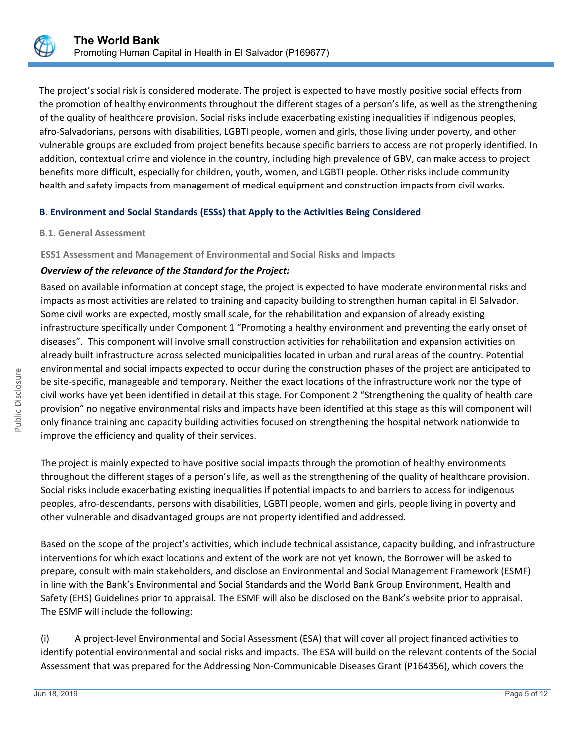

The project's social risk is considered moderate. The project is expected to have mostly positive social effects from the promotion of healthy environments throughout the different stages of a person's life, as well as the strengthening of the quality of healthcare provision. Social risks include exacerbating existing inequalities if indigenous peoples, afro-Salvadorians, persons with disabilities, LGBTI people, women and girls, those living under poverty, and other vulnerable groups are excluded from project benefits because specific barriers to access are not properly identified. In addition, contextual crime and violence in the country, including high prevalence of GBV, can make access to project benefits more difficult, especially for children, youth, women, and LGBTI people. Other risks include community health and safety impacts from management of medical equipment and construction impacts from civil works.

# **B. Environment and Social Standards (ESSs) that Apply to the Activities Being Considered**

#### **B.1. General Assessment**

**ESS1 Assessment and Management of Environmental and Social Risks and Impacts**

#### *Overview of the relevance of the Standard for the Project:*

Based on available information at concept stage, the project is expected to have moderate environmental risks and impacts as most activities are related to training and capacity building to strengthen human capital in El Salvador. Some civil works are expected, mostly small scale, for the rehabilitation and expansion of already existing infrastructure specifically under Component 1 "Promoting a healthy environment and preventing the early onset of diseases". This component will involve small construction activities for rehabilitation and expansion activities on already built infrastructure across selected municipalities located in urban and rural areas of the country. Potential environmental and social impacts expected to occur during the construction phases of the project are anticipated to be site-specific, manageable and temporary. Neither the exact locations of the infrastructure work nor the type of civil works have yet been identified in detail at this stage. For Component 2 "Strengthening the quality of health care provision" no negative environmental risks and impacts have been identified at this stage as this will component will only finance training and capacity building activities focused on strengthening the hospital network nationwide to improve the efficiency and quality of their services.

The project is mainly expected to have positive social impacts through the promotion of healthy environments throughout the different stages of a person's life, as well as the strengthening of the quality of healthcare provision. Social risks include exacerbating existing inequalities if potential impacts to and barriers to access for indigenous peoples, afro-descendants, persons with disabilities, LGBTI people, women and girls, people living in poverty and other vulnerable and disadvantaged groups are not property identified and addressed.

Based on the scope of the project's activities, which include technical assistance, capacity building, and infrastructure interventions for which exact locations and extent of the work are not yet known, the Borrower will be asked to prepare, consult with main stakeholders, and disclose an Environmental and Social Management Framework (ESMF) in line with the Bank's Environmental and Social Standards and the World Bank Group Environment, Health and Safety (EHS) Guidelines prior to appraisal. The ESMF will also be disclosed on the Bank's website prior to appraisal. The ESMF will include the following:

(i) A project-level Environmental and Social Assessment (ESA) that will cover all project financed activities to identify potential environmental and social risks and impacts. The ESA will build on the relevant contents of the Social Assessment that was prepared for the Addressing Non-Communicable Diseases Grant (P164356), which covers the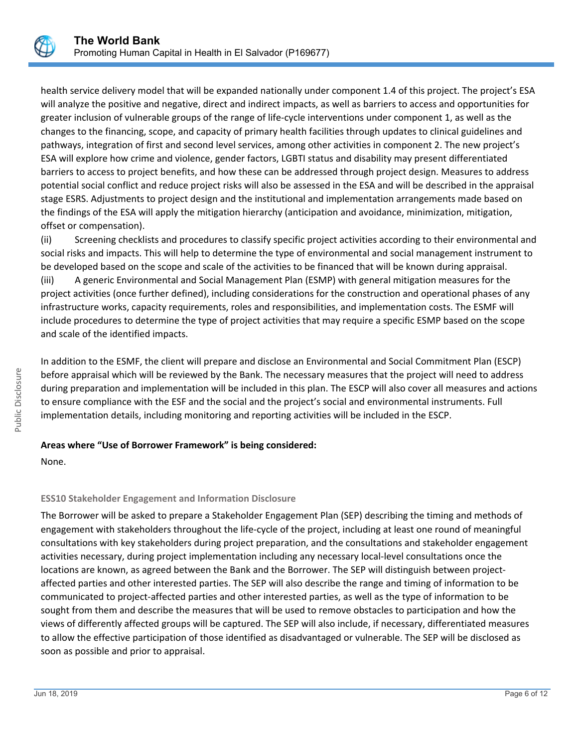

health service delivery model that will be expanded nationally under component 1.4 of this project. The project's ESA will analyze the positive and negative, direct and indirect impacts, as well as barriers to access and opportunities for greater inclusion of vulnerable groups of the range of life-cycle interventions under component 1, as well as the changes to the financing, scope, and capacity of primary health facilities through updates to clinical guidelines and pathways, integration of first and second level services, among other activities in component 2. The new project's ESA will explore how crime and violence, gender factors, LGBTI status and disability may present differentiated barriers to access to project benefits, and how these can be addressed through project design. Measures to address potential social conflict and reduce project risks will also be assessed in the ESA and will be described in the appraisal stage ESRS. Adjustments to project design and the institutional and implementation arrangements made based on the findings of the ESA will apply the mitigation hierarchy (anticipation and avoidance, minimization, mitigation, offset or compensation).

(ii) Screening checklists and procedures to classify specific project activities according to their environmental and social risks and impacts. This will help to determine the type of environmental and social management instrument to be developed based on the scope and scale of the activities to be financed that will be known during appraisal. (iii) A generic Environmental and Social Management Plan (ESMP) with general mitigation measures for the project activities (once further defined), including considerations for the construction and operational phases of any infrastructure works, capacity requirements, roles and responsibilities, and implementation costs. The ESMF will include procedures to determine the type of project activities that may require a specific ESMP based on the scope and scale of the identified impacts.

In addition to the ESMF, the client will prepare and disclose an Environmental and Social Commitment Plan (ESCP) before appraisal which will be reviewed by the Bank. The necessary measures that the project will need to address during preparation and implementation will be included in this plan. The ESCP will also cover all measures and actions to ensure compliance with the ESF and the social and the project's social and environmental instruments. Full implementation details, including monitoring and reporting activities will be included in the ESCP.

#### **Areas where "Use of Borrower Framework" is being considered:**

None.

# **ESS10 Stakeholder Engagement and Information Disclosure**

The Borrower will be asked to prepare a Stakeholder Engagement Plan (SEP) describing the timing and methods of engagement with stakeholders throughout the life-cycle of the project, including at least one round of meaningful consultations with key stakeholders during project preparation, and the consultations and stakeholder engagement activities necessary, during project implementation including any necessary local-level consultations once the locations are known, as agreed between the Bank and the Borrower. The SEP will distinguish between projectaffected parties and other interested parties. The SEP will also describe the range and timing of information to be communicated to project-affected parties and other interested parties, as well as the type of information to be sought from them and describe the measures that will be used to remove obstacles to participation and how the views of differently affected groups will be captured. The SEP will also include, if necessary, differentiated measures to allow the effective participation of those identified as disadvantaged or vulnerable. The SEP will be disclosed as soon as possible and prior to appraisal.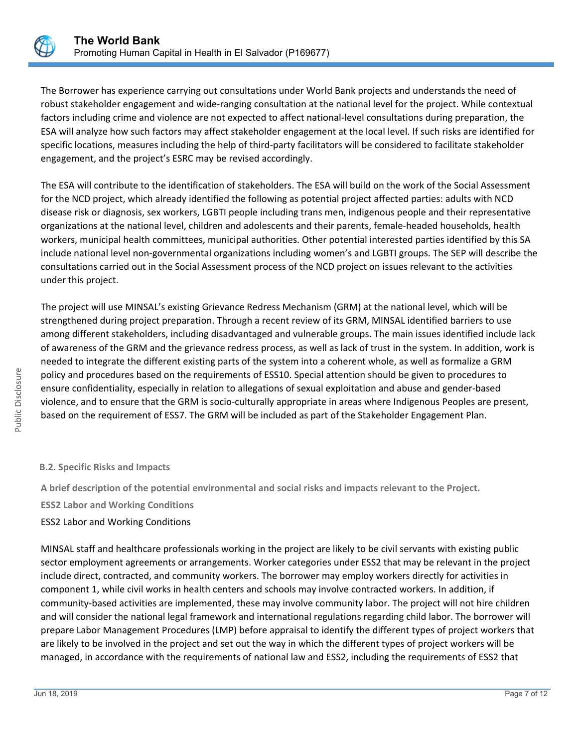

The Borrower has experience carrying out consultations under World Bank projects and understands the need of robust stakeholder engagement and wide-ranging consultation at the national level for the project. While contextual factors including crime and violence are not expected to affect national-level consultations during preparation, the ESA will analyze how such factors may affect stakeholder engagement at the local level. If such risks are identified for specific locations, measures including the help of third-party facilitators will be considered to facilitate stakeholder engagement, and the project's ESRC may be revised accordingly.

The ESA will contribute to the identification of stakeholders. The ESA will build on the work of the Social Assessment for the NCD project, which already identified the following as potential project affected parties: adults with NCD disease risk or diagnosis, sex workers, LGBTI people including trans men, indigenous people and their representative organizations at the national level, children and adolescents and their parents, female-headed households, health workers, municipal health committees, municipal authorities. Other potential interested parties identified by this SA include national level non-governmental organizations including women's and LGBTI groups. The SEP will describe the consultations carried out in the Social Assessment process of the NCD project on issues relevant to the activities under this project.

The project will use MINSAL's existing Grievance Redress Mechanism (GRM) at the national level, which will be strengthened during project preparation. Through a recent review of its GRM, MINSAL identified barriers to use among different stakeholders, including disadvantaged and vulnerable groups. The main issues identified include lack of awareness of the GRM and the grievance redress process, as well as lack of trust in the system. In addition, work is needed to integrate the different existing parts of the system into a coherent whole, as well as formalize a GRM policy and procedures based on the requirements of ESS10. Special attention should be given to procedures to ensure confidentiality, especially in relation to allegations of sexual exploitation and abuse and gender-based violence, and to ensure that the GRM is socio-culturally appropriate in areas where Indigenous Peoples are present, based on the requirement of ESS7. The GRM will be included as part of the Stakeholder Engagement Plan.

#### **B.2. Specific Risks and Impacts**

**A brief description of the potential environmental and social risks and impacts relevant to the Project.**

**ESS2 Labor and Working Conditions**

# ESS2 Labor and Working Conditions

MINSAL staff and healthcare professionals working in the project are likely to be civil servants with existing public sector employment agreements or arrangements. Worker categories under ESS2 that may be relevant in the project include direct, contracted, and community workers. The borrower may employ workers directly for activities in component 1, while civil works in health centers and schools may involve contracted workers. In addition, if community-based activities are implemented, these may involve community labor. The project will not hire children and will consider the national legal framework and international regulations regarding child labor. The borrower will prepare Labor Management Procedures (LMP) before appraisal to identify the different types of project workers that are likely to be involved in the project and set out the way in which the different types of project workers will be managed, in accordance with the requirements of national law and ESS2, including the requirements of ESS2 that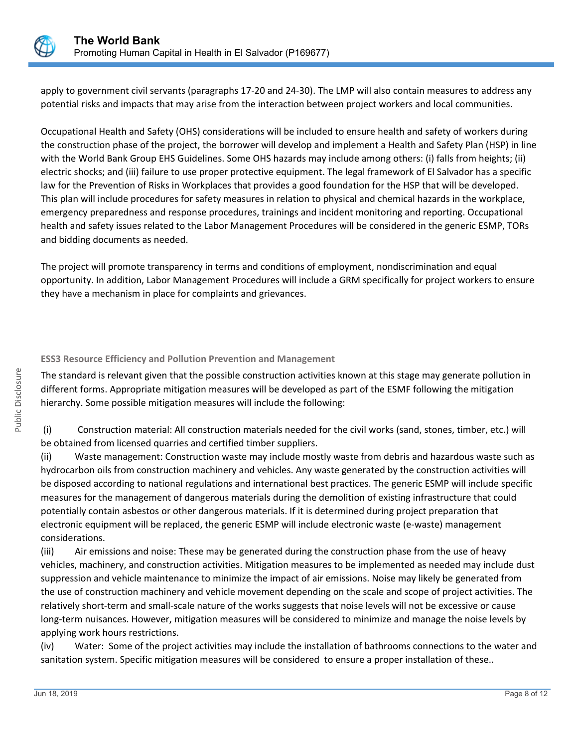

apply to government civil servants (paragraphs 17-20 and 24-30). The LMP will also contain measures to address any potential risks and impacts that may arise from the interaction between project workers and local communities.

Occupational Health and Safety (OHS) considerations will be included to ensure health and safety of workers during the construction phase of the project, the borrower will develop and implement a Health and Safety Plan (HSP) in line with the World Bank Group EHS Guidelines. Some OHS hazards may include among others: (i) falls from heights; (ii) electric shocks; and (iii) failure to use proper protective equipment. The legal framework of El Salvador has a specific law for the Prevention of Risks in Workplaces that provides a good foundation for the HSP that will be developed. This plan will include procedures for safety measures in relation to physical and chemical hazards in the workplace, emergency preparedness and response procedures, trainings and incident monitoring and reporting. Occupational health and safety issues related to the Labor Management Procedures will be considered in the generic ESMP, TORs and bidding documents as needed.

The project will promote transparency in terms and conditions of employment, nondiscrimination and equal opportunity. In addition, Labor Management Procedures will include a GRM specifically for project workers to ensure they have a mechanism in place for complaints and grievances.

### **ESS3 Resource Efficiency and Pollution Prevention and Management**

The standard is relevant given that the possible construction activities known at this stage may generate pollution in different forms. Appropriate mitigation measures will be developed as part of the ESMF following the mitigation hierarchy. Some possible mitigation measures will include the following:

 (i) Construction material: All construction materials needed for the civil works (sand, stones, timber, etc.) will be obtained from licensed quarries and certified timber suppliers.

(ii) Waste management: Construction waste may include mostly waste from debris and hazardous waste such as hydrocarbon oils from construction machinery and vehicles. Any waste generated by the construction activities will be disposed according to national regulations and international best practices. The generic ESMP will include specific measures for the management of dangerous materials during the demolition of existing infrastructure that could potentially contain asbestos or other dangerous materials. If it is determined during project preparation that electronic equipment will be replaced, the generic ESMP will include electronic waste (e-waste) management considerations.

(iii) Air emissions and noise: These may be generated during the construction phase from the use of heavy vehicles, machinery, and construction activities. Mitigation measures to be implemented as needed may include dust suppression and vehicle maintenance to minimize the impact of air emissions. Noise may likely be generated from the use of construction machinery and vehicle movement depending on the scale and scope of project activities. The relatively short-term and small-scale nature of the works suggests that noise levels will not be excessive or cause long-term nuisances. However, mitigation measures will be considered to minimize and manage the noise levels by applying work hours restrictions.

(iv) Water: Some of the project activities may include the installation of bathrooms connections to the water and sanitation system. Specific mitigation measures will be considered to ensure a proper installation of these..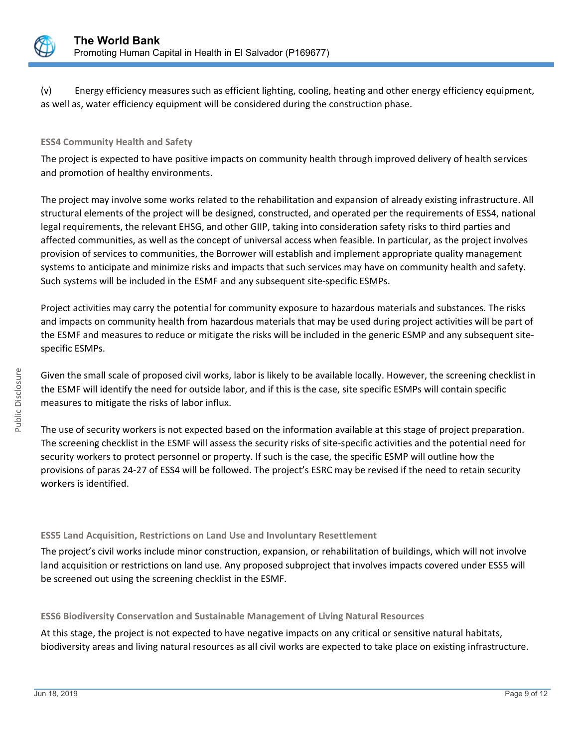

(v) Energy efficiency measures such as efficient lighting, cooling, heating and other energy efficiency equipment, as well as, water efficiency equipment will be considered during the construction phase.

#### **ESS4 Community Health and Safety**

The project is expected to have positive impacts on community health through improved delivery of health services and promotion of healthy environments.

The project may involve some works related to the rehabilitation and expansion of already existing infrastructure. All structural elements of the project will be designed, constructed, and operated per the requirements of ESS4, national legal requirements, the relevant EHSG, and other GIIP, taking into consideration safety risks to third parties and affected communities, as well as the concept of universal access when feasible. In particular, as the project involves provision of services to communities, the Borrower will establish and implement appropriate quality management systems to anticipate and minimize risks and impacts that such services may have on community health and safety. Such systems will be included in the ESMF and any subsequent site-specific ESMPs.

Project activities may carry the potential for community exposure to hazardous materials and substances. The risks and impacts on community health from hazardous materials that may be used during project activities will be part of the ESMF and measures to reduce or mitigate the risks will be included in the generic ESMP and any subsequent sitespecific ESMPs.

Given the small scale of proposed civil works, labor is likely to be available locally. However, the screening checklist in the ESMF will identify the need for outside labor, and if this is the case, site specific ESMPs will contain specific measures to mitigate the risks of labor influx.

The use of security workers is not expected based on the information available at this stage of project preparation. The screening checklist in the ESMF will assess the security risks of site-specific activities and the potential need for security workers to protect personnel or property. If such is the case, the specific ESMP will outline how the provisions of paras 24-27 of ESS4 will be followed. The project's ESRC may be revised if the need to retain security workers is identified.

# **ESS5 Land Acquisition, Restrictions on Land Use and Involuntary Resettlement**

The project's civil works include minor construction, expansion, or rehabilitation of buildings, which will not involve land acquisition or restrictions on land use. Any proposed subproject that involves impacts covered under ESS5 will be screened out using the screening checklist in the ESMF.

#### **ESS6 Biodiversity Conservation and Sustainable Management of Living Natural Resources**

At this stage, the project is not expected to have negative impacts on any critical or sensitive natural habitats, biodiversity areas and living natural resources as all civil works are expected to take place on existing infrastructure.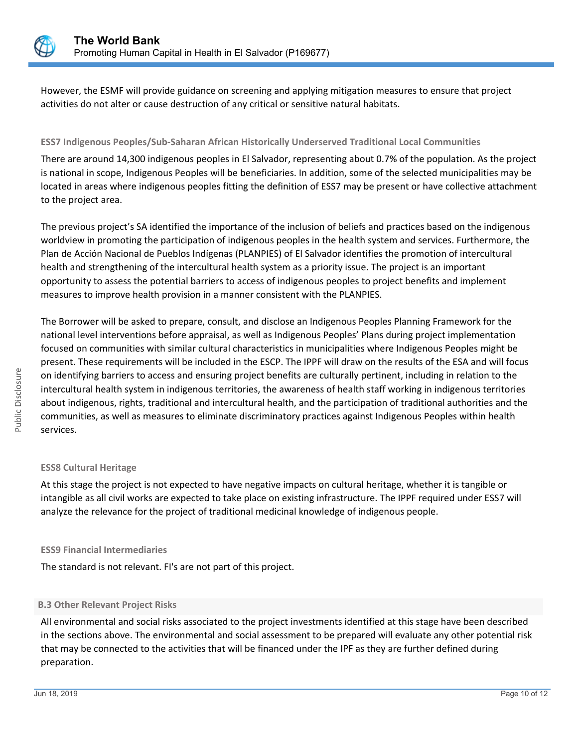

However, the ESMF will provide guidance on screening and applying mitigation measures to ensure that project activities do not alter or cause destruction of any critical or sensitive natural habitats.

### **ESS7 Indigenous Peoples/Sub-Saharan African Historically Underserved Traditional Local Communities**

There are around 14,300 indigenous peoples in El Salvador, representing about 0.7% of the population. As the project is national in scope, Indigenous Peoples will be beneficiaries. In addition, some of the selected municipalities may be located in areas where indigenous peoples fitting the definition of ESS7 may be present or have collective attachment to the project area.

The previous project's SA identified the importance of the inclusion of beliefs and practices based on the indigenous worldview in promoting the participation of indigenous peoples in the health system and services. Furthermore, the Plan de Acción Nacional de Pueblos Indígenas (PLANPIES) of El Salvador identifies the promotion of intercultural health and strengthening of the intercultural health system as a priority issue. The project is an important opportunity to assess the potential barriers to access of indigenous peoples to project benefits and implement measures to improve health provision in a manner consistent with the PLANPIES.

The Borrower will be asked to prepare, consult, and disclose an Indigenous Peoples Planning Framework for the national level interventions before appraisal, as well as Indigenous Peoples' Plans during project implementation focused on communities with similar cultural characteristics in municipalities where Indigenous Peoples might be present. These requirements will be included in the ESCP. The IPPF will draw on the results of the ESA and will focus on identifying barriers to access and ensuring project benefits are culturally pertinent, including in relation to the intercultural health system in indigenous territories, the awareness of health staff working in indigenous territories about indigenous, rights, traditional and intercultural health, and the participation of traditional authorities and the communities, as well as measures to eliminate discriminatory practices against Indigenous Peoples within health services.

#### **ESS8 Cultural Heritage**

At this stage the project is not expected to have negative impacts on cultural heritage, whether it is tangible or intangible as all civil works are expected to take place on existing infrastructure. The IPPF required under ESS7 will analyze the relevance for the project of traditional medicinal knowledge of indigenous people.

#### **ESS9 Financial Intermediaries**

The standard is not relevant. FI's are not part of this project.

#### **B.3 Other Relevant Project Risks**

All environmental and social risks associated to the project investments identified at this stage have been described in the sections above. The environmental and social assessment to be prepared will evaluate any other potential risk that may be connected to the activities that will be financed under the IPF as they are further defined during preparation.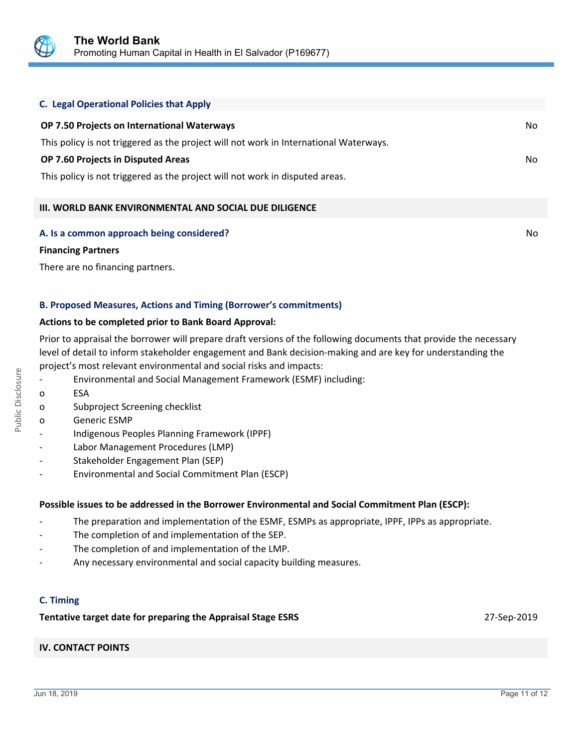

| <b>C. Legal Operational Policies that Apply</b>                                       |     |
|---------------------------------------------------------------------------------------|-----|
| OP 7.50 Projects on International Waterways                                           | No. |
| This policy is not triggered as the project will not work in International Waterways. |     |
| OP 7.60 Projects in Disputed Areas                                                    | No. |
| This policy is not triggered as the project will not work in disputed areas.          |     |

# **III. WORLD BANK ENVIRONMENTAL AND SOCIAL DUE DILIGENCE**

#### **A. Is a common approach being considered?** No **No. 2016** No. 2016 No. 2017 No. 2018 No. 2018 No. 2019 No. 2019 No

#### **Financing Partners**

There are no financing partners.

#### **B. Proposed Measures, Actions and Timing (Borrower's commitments)**

#### **Actions to be completed prior to Bank Board Approval:**

Prior to appraisal the borrower will prepare draft versions of the following documents that provide the necessary level of detail to inform stakeholder engagement and Bank decision-making and are key for understanding the project's most relevant environmental and social risks and impacts:

- Environmental and Social Management Framework (ESMF) including:
- o ESA
- o Subproject Screening checklist
- o Generic ESMP
- Indigenous Peoples Planning Framework (IPPF)
- Labor Management Procedures (LMP)
- Stakeholder Engagement Plan (SEP)
- Environmental and Social Commitment Plan (ESCP)

#### **Possible issues to be addressed in the Borrower Environmental and Social Commitment Plan (ESCP):**

- The preparation and implementation of the ESMF, ESMPs as appropriate, IPPF, IPPs as appropriate.
- The completion of and implementation of the SEP.
- The completion of and implementation of the LMP.
- Any necessary environmental and social capacity building measures.

#### **C. Timing**

#### **Tentative target date for preparing the Appraisal Stage ESRS** 27-Sep-2019

#### **IV. CONTACT POINTS**